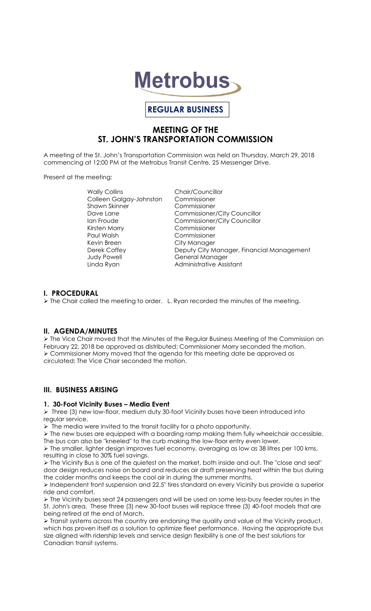

# **REGULAR BUSINESS**

## **MEETING OF THE ST. JOHN'S TRANSPORTATION COMMISSION**

A meeting of the St. John's Transportation Commission was held on Thursday, March 29, 2018 commencing at 12:00 PM at the Metrobus Transit Centre, 25 Messenger Drive.

Present at the meeting:

Wally Collins **Chair/Councillor** Colleen Galgay-Johnston Commissioner Shawn Skinner Commissioner Kirsten Morry Commissioner Paul Walsh Commissioner Kevin Breen City Manager

Dave Lane **Commissioner/City Councillor** Ian Froude Commissioner/City Councillor Derek Coffey Deputy City Manager, Financial Management General Manager Linda Ryan **Administrative Assistant** 

## **I. PROCEDURAL**

 $\triangleright$  The Chair called the meeting to order. L. Ryan recorded the minutes of the meeting.

## **II. AGENDA/MINUTES**

 The Vice Chair moved that the Minutes of the Regular Business Meeting of the Commission on February 22, 2018 be approved as distributed; Commissioner Morry seconded the motion. Commissioner Morry moved that the agenda for this meeting date be approved as circulated; The Vice Chair seconded the motion.

## **III. BUSINESS ARISING**

#### **1. 30-Foot Vicinity Buses – Media Event**

 $\triangleright$  Three (3) new low-floor, medium duty 30-foot Vicinity buses have been introduced into regular service.

 $\triangleright$  The media were invited to the transit facility for a photo opportunity.

 $\triangleright$  The new buses are equipped with a boarding ramp making them fully wheelchair accessible. The bus can also be "kneeled" to the curb making the low-floor entry even lower.

 $\triangleright$  The smaller, lighter design improves fuel economy, averaging as low as 38 litres per 100 kms, resulting in close to 30% fuel savings.

 $\triangleright$  The Vicinity Bus is one of the quietest on the market, both inside and out. The "close and seal" door design reduces noise on board and reduces air draft preserving heat within the bus during the colder months and keeps the cool air in during the summer months.

 Independent front suspension and 22.5" tires standard on every Vicinity bus provide a superior ride and comfort.

 $\triangleright$  The Vicinity buses seat 24 passengers and will be used on some less-busy feeder routes in the St. John's area. These three (3) new 30-foot buses will replace three (3) 40-foot models that are being retired at the end of March.

 $\triangleright$  Transit systems across the country are endorsing the quality and value of the Vicinity product, which has proven itself as a solution to optimize fleet performance. Having the appropriate bus size aligned with ridership levels and service design flexibility is one of the best solutions for Canadian transit systems.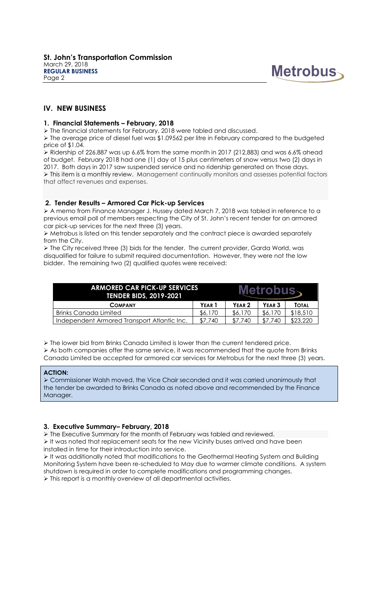

## **IV. NEW BUSINESS**

#### **1. Financial Statements – February, 2018**

The financial statements for February, 2018 were tabled and discussed.

 $\triangleright$  The average price of diesel fuel was \$1.09562 per litre in February compared to the budgeted price of \$1.04.

 $\triangleright$  Ridership of 226,887 was up 6.6% from the same month in 2017 (212,883) and was 6.6% ahead of budget. February 2018 had one (1) day of 15 plus centimeters of snow versus two (2) days in 2017. Both days in 2017 saw suspended service and no ridership generated on those days.  $\triangleright$  This item is a monthly review. Management continually monitors and assesses potential factors that affect revenues and expenses.

#### **2. Tender Results – Armored Car Pick-up Services**

 A memo from Finance Manager J. Hussey dated March 7, 2018 was tabled in reference to a previous email poll of members respecting the City of St. John's recent tender for an armored car pick-up services for the next three (3) years.

 Metrobus is listed on this tender separately and the contract piece is awarded separately from the City.

 The City received three (3) bids for the tender. The current provider, Garda World, was disqualified for failure to submit required documentation. However, they were not the low bidder. The remaining two (2) qualified quotes were received:

| <b>ARMORED CAR PICK-UP SERVICES</b><br><b>TENDER BIDS, 2019-2021</b> |                   | Metrobus          |                   |          |
|----------------------------------------------------------------------|-------------------|-------------------|-------------------|----------|
| <b>COMPANY</b>                                                       | YEAR <sub>1</sub> | YEAR <sub>2</sub> | YEAR <sub>3</sub> | TOTAL    |
| <b>Brinks Canada Limited</b>                                         | \$6,170           | \$6,170           | \$6,170           | \$18,510 |
| Independent Armored Transport Atlantic Inc.                          | \$7,740           | \$7.740           | \$7,740           | \$23,220 |

 $\triangleright$  The lower bid from Brinks Canada Limited is lower than the current tendered price.

 $\triangleright$  As both companies offer the same service, it was recommended that the quote from Brinks Canada Limited be accepted for armored car services for Metrobus for the next three (3) years.

#### **ACTION:**

 Commissioner Walsh moved, the Vice Chair seconded and it was carried unanimously that the tender be awarded to Brinks Canada as noted above and recommended by the Finance Manager.

#### **3. Executive Summary– February, 2018**

The Executive Summary for the month of February was tabled and reviewed.

 $\triangleright$  It was noted that replacement seats for the new Vicinity buses arrived and have been installed in time for their introduction into service.

 It was additionally noted that modifications to the Geothermal Heating System and Building Monitoring System have been re-scheduled to May due to warmer climate conditions. A system shutdown is required in order to complete modifications and programming changes.  $\triangleright$  This report is a monthly overview of all departmental activities.